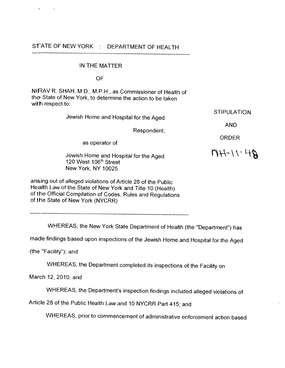## STATE OF NEW YORK : DEPARTMENT OF HEALTH

## IN THE MATTER

**OF** 

NlRAV R. SHAH, M.D., M.P.H., as Commissioner of Health of the State of New York, to determine the action to be taken with respect to:

Jewish Home and Hospital for the Aged

Respondent,

as operator of

Jewish Home and Hospital for the Aged 120 West 1 06'h Street New York, NY 10025

ORDER

AND

STIPULATION

 $A+11.14A$ 

arising out of alleged violations of Article 28 of the Public Health Law of the State of New York and Title 10 (Health) of the Official Compilation of Codes, Rules and Regulations of the State of New York (NYCRR)

WHEREAS, the New York State Department of Health (the "Department") has

made findings based upon inspections of the Jewish Home and Hospital for the Aged

(the "Facility"); and

WHEREAS, the Department completed its inspections of the Facility on

March 12, 2010; and

WHEREAS, the Department's inspection findings included alleged violations of

Article 28 of the Public Health Law and 10 NYCRR Part 415; and

WHEREAS, prior to commencement of administrative enforcement action based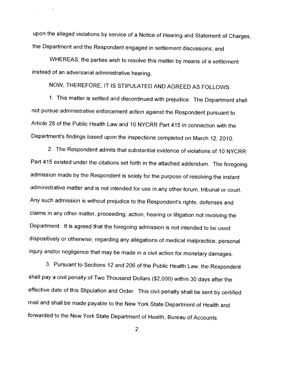upon the alleged violations by service of a Notice of Hearing and Statement of Charges, the Department and the Respondent engaged in settlement discussions; and

WHEREAS, the parties wish to resolve this matter by means of a settlement instead of an adversarial administrative hearing.

 $\sim 100$ 

NOW, THEREFORE, IT IS STIPULATED AND AGREED AS FOLLOWS:

1. This matter is settled and discontinued with prejudice. The Department shall not pursue administrative enforcement action against the Respondent pursuant to Article 28 of the Public Health Law and 10 NYCRR Part 415 in connection with the Department's findings based upon the inspections completed on March 12, 2010.

2. The Respondent admits that substantial evidence of violations of 10 NYCRR Part 415 existed under the citations set forth in the attached addendum. The foregoing admission made by the Respondent is solely for the purpose of resolving the instant administrative matter and is not intended for use in any other forum, tribunal or court. Any such admission is without prejudice to the Respondent's rights, defenses and claims in any other matter, proceeding, action, hearing or litigation not involving the Department. It is agreed that the foregoing admission is not intended to be used dispositively or otherwise, regarding any allegations of medical malpractice, personal injury and/or negligence that may be made in a civil action for monetary damages.

3. Pursuant to Sections 12 and 206 of the Public Health Law, the Respondent shall pay a civil penalty of Two Thousand Dollars (\$2,000) within 30 days after the effective date of this Stipulation and Order. This civil penalty shall be sent by certified mail and shall be made payable to the New York State Department of Health and forwarded to the New York State Department of Health, Bureau of Accounts

 $\overline{2}$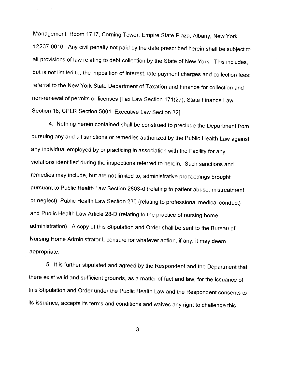Management, Room 1717, Corning Tower, Empire State Plaza, Albany, New York 12237-0016. Any civil penalty not paid by the date prescribed herein shall be subject to all provisions of law relating to debt collection by the State of New York. This includes, but is not limited to, the imposition of interest, late payment charges and collection fees; referral to the New York State Department of Taxation and Finance for collection and non-renewal of permits or licenses [Tax Law Section 171(27); State Finance Law Section 18; CPLR Section 5001; Executive Law Section 321.

 $\Delta \sim 10^{-11}$ 

 $\sim$   $\sim$ 

**4.** Nothing herein contained shall be construed to preclude the Department from pursuing any and all sanctions or remedies authorized by the Public Health Law against any individual employed by or practicing in association with the Facility for any violations identified during the inspections referred to herein. Such sanctions and remedies may include, but are not limited to, administrative proceedings brought pursuant to Public Health Law Section 2803-d (relating to patient abuse, mistreatment or neglect), Public Health Law Section 230 (relating to professional medical conduct) and Public Health Law Article 28-D (relating to the practice of nursing home administration). A copy of this Stipulation and Order shall be sent to the Bureau of Nursing Home Administrator Licensure for whatever action, if any, it may deem appropriate.

5. It is further stipulated and agreed by the Respondent and the Department that there exist valid and sufficient grounds, as a matter of fact and law, for the issuance of this Stipulation and Order under the Public Health Law and the Respondent consents to its issuance, accepts its terms and conditions and waives any right to challenge this

3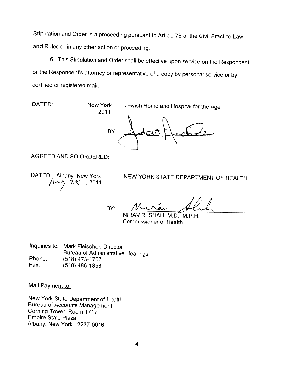Stipulation and Order in a proceeding pursuant to Article 78 of the Civil Practice Law and Rules or in any other action or proceeding.

6. This Stipulation and Order shall be effective upon service on the Respondent or the Respondent's attorney or representative of a copy by personal service or by certified or registered mail.

 $\sim$   $\,$ 

 $\hat{\nu}$ 

DATED: , New York Jewish Home and Hospital for the Age

 $, 2011$ **BY:** 

AGREED AND SO ORDERED:

DATED: Albany, New York  $2\, \zeta$ , 2011

NEW YORK STATE DEPARTMENT OF HEALTH

BY:

NIRAV R. SHAH, M.D., M.P.H. Commissioner of Health

Inquiries to: Mark Fleischer, Director Bureau of Administrative Hearings Phone: (518) 473-1707 Fax: (518) 486-1858

Mail Pavment to:

New York State Department of Health Bureau of Accounts Management Corning Tower, Room 1717 Empire State Plaza Albany, New York 12237-0016